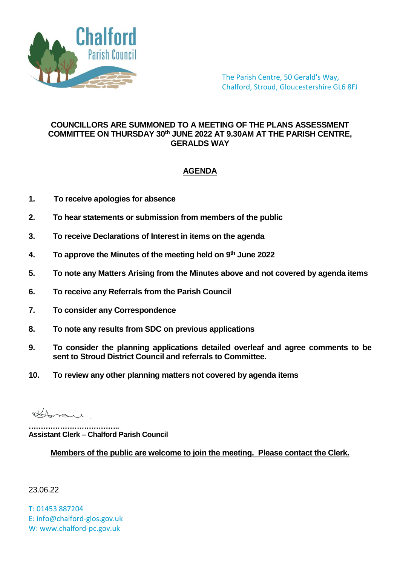

The Parish Centre, 50 Gerald's Way, Chalford, Stroud, Gloucestershire GL6 8FJ

## **COUNCILLORS ARE SUMMONED TO A MEETING OF THE PLANS ASSESSMENT COMMITTEE ON THURSDAY 30th JUNE 2022 AT 9.30AM AT THE PARISH CENTRE, GERALDS WAY**

## **AGENDA**

- **1. To receive apologies for absence**
- **2. To hear statements or submission from members of the public**
- **3. To receive Declarations of Interest in items on the agenda**
- **4. To approve the Minutes of the meeting held on 9 th June 2022**
- **5. To note any Matters Arising from the Minutes above and not covered by agenda items**
- **6. To receive any Referrals from the Parish Council**
- **7. To consider any Correspondence**
- **8. To note any results from SDC on previous applications**
- **9. To consider the planning applications detailed overleaf and agree comments to be sent to Stroud District Council and referrals to Committee.**
- **10. To review any other planning matters not covered by agenda items**

Homare

**……………………………….. Assistant Clerk – Chalford Parish Council**

**Members of the public are welcome to join the meeting. Please contact the Clerk.**

23.06.22

T: 01453 887204 E: info@chalford-glos.gov.uk W: www.chalford-pc.gov.uk